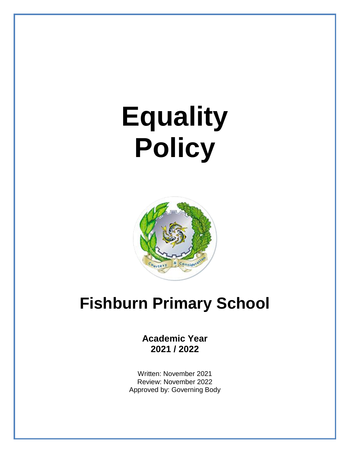# **Equality Policy**



# **Fishburn Primary School**

**Academic Year 2021 / 2022**

Written: November 2021 Review: November 2022 Approved by: Governing Body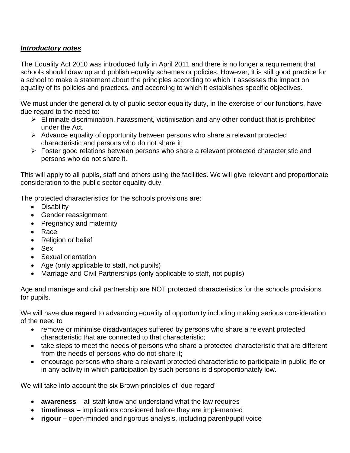# *Introductory notes*

The Equality Act 2010 was introduced fully in April 2011 and there is no longer a requirement that schools should draw up and publish equality schemes or policies. However, it is still good practice for a school to make a statement about the principles according to which it assesses the impact on equality of its policies and practices, and according to which it establishes specific objectives.

We must under the general duty of public sector equality duty, in the exercise of our functions, have due regard to the need to:

- $\triangleright$  Eliminate discrimination, harassment, victimisation and any other conduct that is prohibited under the Act.
- ➢ Advance equality of opportunity between persons who share a relevant protected characteristic and persons who do not share it;
- ➢ Foster good relations between persons who share a relevant protected characteristic and persons who do not share it.

This will apply to all pupils, staff and others using the facilities. We will give relevant and proportionate consideration to the public sector equality duty.

The protected characteristics for the schools provisions are:

- Disability
- Gender reassignment
- Pregnancy and maternity
- Race
- Religion or belief
- Sex
- Sexual orientation
- Age (only applicable to staff, not pupils)
- Marriage and Civil Partnerships (only applicable to staff, not pupils)

Age and marriage and civil partnership are NOT protected characteristics for the schools provisions for pupils.

We will have **due regard** to advancing equality of opportunity including making serious consideration of the need to

- remove or minimise disadvantages suffered by persons who share a relevant protected characteristic that are connected to that characteristic;
- take steps to meet the needs of persons who share a protected characteristic that are different from the needs of persons who do not share it;
- encourage persons who share a relevant protected characteristic to participate in public life or in any activity in which participation by such persons is disproportionately low.

We will take into account the six Brown principles of 'due regard'

- **awareness** all staff know and understand what the law requires
- **timeliness** implications considered before they are implemented
- **rigour** open-minded and rigorous analysis, including parent/pupil voice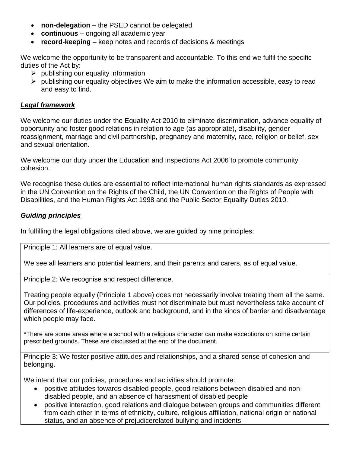- **non-delegation** the PSED cannot be delegated
- **continuous** ongoing all academic year
- **record-keeping** keep notes and records of decisions & meetings

We welcome the opportunity to be transparent and accountable. To this end we fulfil the specific duties of the Act by:

- $\triangleright$  publishing our equality information
- $\triangleright$  publishing our equality objectives We aim to make the information accessible, easy to read and easy to find.

### *Legal framework*

We welcome our duties under the Equality Act 2010 to eliminate discrimination, advance equality of opportunity and foster good relations in relation to age (as appropriate), disability, gender reassignment, marriage and civil partnership, pregnancy and maternity, race, religion or belief, sex and sexual orientation.

We welcome our duty under the Education and Inspections Act 2006 to promote community cohesion.

We recognise these duties are essential to reflect international human rights standards as expressed in the UN Convention on the Rights of the Child, the UN Convention on the Rights of People with Disabilities, and the Human Rights Act 1998 and the Public Sector Equality Duties 2010.

#### *Guiding principles*

In fulfilling the legal obligations cited above, we are guided by nine principles:

Principle 1: All learners are of equal value.

We see all learners and potential learners, and their parents and carers, as of equal value.

Principle 2: We recognise and respect difference.

Treating people equally (Principle 1 above) does not necessarily involve treating them all the same. Our policies, procedures and activities must not discriminate but must nevertheless take account of differences of life-experience, outlook and background, and in the kinds of barrier and disadvantage which people may face.

\*There are some areas where a school with a religious character can make exceptions on some certain prescribed grounds. These are discussed at the end of the document.

Principle 3: We foster positive attitudes and relationships, and a shared sense of cohesion and belonging.

We intend that our policies, procedures and activities should promote:

- positive attitudes towards disabled people, good relations between disabled and nondisabled people, and an absence of harassment of disabled people
- positive interaction, good relations and dialogue between groups and communities different from each other in terms of ethnicity, culture, religious affiliation, national origin or national status, and an absence of prejudicerelated bullying and incidents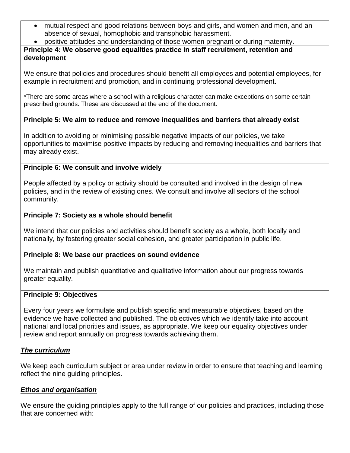- mutual respect and good relations between boys and girls, and women and men, and an absence of sexual, homophobic and transphobic harassment.
- positive attitudes and understanding of those women pregnant or during maternity.

# **Principle 4: We observe good equalities practice in staff recruitment, retention and development**

We ensure that policies and procedures should benefit all employees and potential employees, for example in recruitment and promotion, and in continuing professional development.

\*There are some areas where a school with a religious character can make exceptions on some certain prescribed grounds. These are discussed at the end of the document.

# **Principle 5: We aim to reduce and remove inequalities and barriers that already exist**

In addition to avoiding or minimising possible negative impacts of our policies, we take opportunities to maximise positive impacts by reducing and removing inequalities and barriers that may already exist.

# **Principle 6: We consult and involve widely**

People affected by a policy or activity should be consulted and involved in the design of new policies, and in the review of existing ones. We consult and involve all sectors of the school community.

# **Principle 7: Society as a whole should benefit**

We intend that our policies and activities should benefit society as a whole, both locally and nationally, by fostering greater social cohesion, and greater participation in public life.

# **Principle 8: We base our practices on sound evidence**

We maintain and publish quantitative and qualitative information about our progress towards greater equality.

#### **Principle 9: Objectives**

Every four years we formulate and publish specific and measurable objectives, based on the evidence we have collected and published. The objectives which we identify take into account national and local priorities and issues, as appropriate. We keep our equality objectives under review and report annually on progress towards achieving them.

# *The curriculum*

We keep each curriculum subject or area under review in order to ensure that teaching and learning reflect the nine guiding principles.

# *Ethos and organisation*

We ensure the guiding principles apply to the full range of our policies and practices, including those that are concerned with: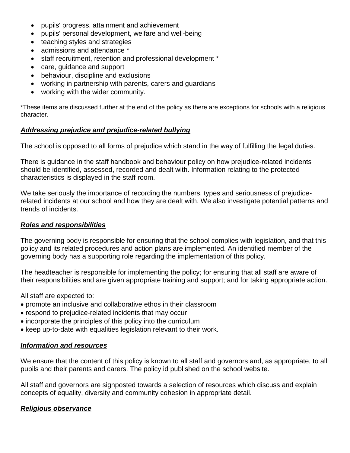- pupils' progress, attainment and achievement
- pupils' personal development, welfare and well-being
- teaching styles and strategies
- admissions and attendance \*
- staff recruitment, retention and professional development \*
- care, guidance and support
- behaviour, discipline and exclusions
- working in partnership with parents, carers and guardians
- working with the wider community.

\*These items are discussed further at the end of the policy as there are exceptions for schools with a religious character.

#### *Addressing prejudice and prejudice-related bullying*

The school is opposed to all forms of prejudice which stand in the way of fulfilling the legal duties.

There is guidance in the staff handbook and behaviour policy on how prejudice-related incidents should be identified, assessed, recorded and dealt with. Information relating to the protected characteristics is displayed in the staff room.

We take seriously the importance of recording the numbers, types and seriousness of prejudicerelated incidents at our school and how they are dealt with. We also investigate potential patterns and trends of incidents.

#### *Roles and responsibilities*

The governing body is responsible for ensuring that the school complies with legislation, and that this policy and its related procedures and action plans are implemented. An identified member of the governing body has a supporting role regarding the implementation of this policy.

The headteacher is responsible for implementing the policy; for ensuring that all staff are aware of their responsibilities and are given appropriate training and support; and for taking appropriate action.

All staff are expected to:

- promote an inclusive and collaborative ethos in their classroom
- respond to prejudice-related incidents that may occur
- incorporate the principles of this policy into the curriculum
- keep up-to-date with equalities legislation relevant to their work.

#### *Information and resources*

We ensure that the content of this policy is known to all staff and governors and, as appropriate, to all pupils and their parents and carers. The policy id published on the school website.

All staff and governors are signposted towards a selection of resources which discuss and explain concepts of equality, diversity and community cohesion in appropriate detail.

#### *Religious observance*